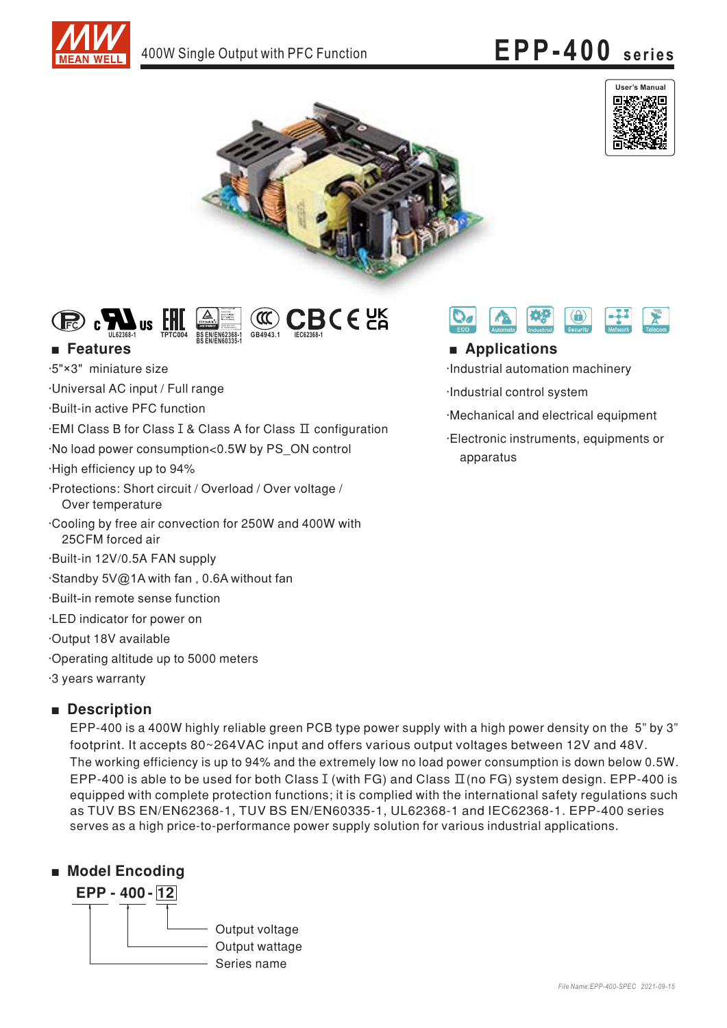







# ■

.5"×3" miniature size

Universal AC input / Full range

**IIS** 

·Built-in active PFC function

EMI Class B for Class I & Class A for Class  $\Pi$  configuration

No load power consumption<0.5W by PS\_ON control

.High efficiency up to 94%

· Protections: Short circuit / Overload / Over voltage / Over temperature

Cooling by free air convection for 250W and 400W with 25CFM forced air

.Built-in 12V/0.5A FAN supply

Standby 5V@1A with fan , 0.6A without fan

Built-in remote sense function

·LED indicator for power on

Output 18V available

Operating altitude up to 5000 meters

3 years warranty

# ■ **Description**

"EPP-400 is a 400W highly reliable green PCB type power supply with a high power density on the 5" by 3 footprint. It accepts 80~264VAC input and offers various output voltages between 12V and 48V. The working efficiency is up to 94% and the extremely low no load power consumption is down below 0.5W.  $\,$ EPP-400 is able to be used for both Class I (with FG) and Class  $\Pi$ (no FG) system design. EPP-400 is equipped with complete protection functions; it is complied with the international safety regulations such as TUV BS EN/EN62368-1, TUV BS EN/EN60335-1, UL62368-1 and IEC62368-1. EPP-400 series serves as a high price-to-performance power supply solution for various industrial applications.







# ■ **Applications**

Industrial automation machinery

Industrial control system

·Mechanical and electrical equipment

·Electronic instruments, equipments or apparatus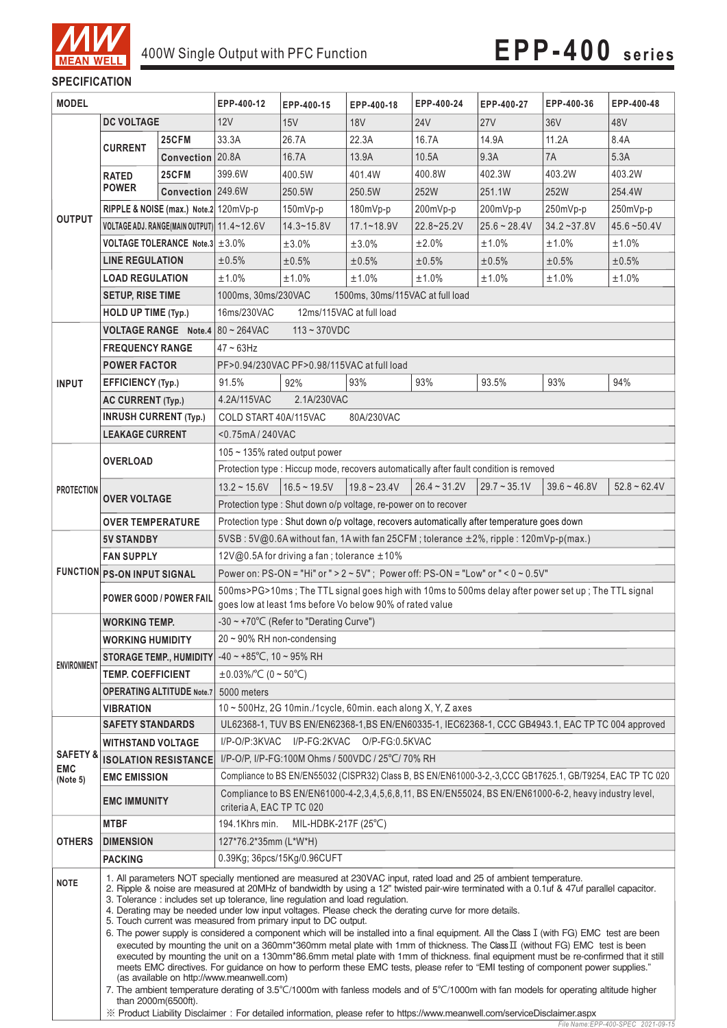

*File Name:EPP-400-SPEC 2021-09-15*

## **SPECIFICATION**

| <b>MODEL</b>                                                                    |                                                                                                     | EPP-400-12                                                                                                                         | EPP-400-15                                                                                                                                                                                                                                                                                                                                                                                                                                                                                                                                                                                                                                                                                                                                                                                                                                                                                                                                                                                                                                                                                                                                                                                                                      | EPP-400-18        | EPP-400-24     | EPP-400-27     | EPP-400-36        | EPP-400-48      |                |
|---------------------------------------------------------------------------------|-----------------------------------------------------------------------------------------------------|------------------------------------------------------------------------------------------------------------------------------------|---------------------------------------------------------------------------------------------------------------------------------------------------------------------------------------------------------------------------------------------------------------------------------------------------------------------------------------------------------------------------------------------------------------------------------------------------------------------------------------------------------------------------------------------------------------------------------------------------------------------------------------------------------------------------------------------------------------------------------------------------------------------------------------------------------------------------------------------------------------------------------------------------------------------------------------------------------------------------------------------------------------------------------------------------------------------------------------------------------------------------------------------------------------------------------------------------------------------------------|-------------------|----------------|----------------|-------------------|-----------------|----------------|
|                                                                                 | <b>DC VOLTAGE</b>                                                                                   |                                                                                                                                    | 12V                                                                                                                                                                                                                                                                                                                                                                                                                                                                                                                                                                                                                                                                                                                                                                                                                                                                                                                                                                                                                                                                                                                                                                                                                             | 15V               | <b>18V</b>     | <b>24V</b>     | 27V               | 36 <sub>V</sub> | 48V            |
|                                                                                 |                                                                                                     | 25CFM                                                                                                                              | 33.3A                                                                                                                                                                                                                                                                                                                                                                                                                                                                                                                                                                                                                                                                                                                                                                                                                                                                                                                                                                                                                                                                                                                                                                                                                           | 26.7A             | 22.3A          | 16.7A          | 14.9A             | 11.2A           | 8.4A           |
|                                                                                 | <b>CURRENT</b>                                                                                      | Convection 20.8A                                                                                                                   |                                                                                                                                                                                                                                                                                                                                                                                                                                                                                                                                                                                                                                                                                                                                                                                                                                                                                                                                                                                                                                                                                                                                                                                                                                 | 16.7A             | 13.9A          | 10.5A          | 9.3A              | 7A              | 5.3A           |
|                                                                                 | <b>RATED</b>                                                                                        | 25CFM                                                                                                                              | 399.6W                                                                                                                                                                                                                                                                                                                                                                                                                                                                                                                                                                                                                                                                                                                                                                                                                                                                                                                                                                                                                                                                                                                                                                                                                          | 400.5W            | 401.4W         | 400.8W         | 402.3W            | 403.2W          | 403.2W         |
|                                                                                 | <b>POWER</b>                                                                                        | Convection 249.6W                                                                                                                  |                                                                                                                                                                                                                                                                                                                                                                                                                                                                                                                                                                                                                                                                                                                                                                                                                                                                                                                                                                                                                                                                                                                                                                                                                                 | 250.5W            | 250.5W         | 252W           | 251.1W            | 252W            | 254.4W         |
|                                                                                 |                                                                                                     | RIPPLE & NOISE (max.) Note.2 120mVp-p                                                                                              |                                                                                                                                                                                                                                                                                                                                                                                                                                                                                                                                                                                                                                                                                                                                                                                                                                                                                                                                                                                                                                                                                                                                                                                                                                 | $150mVp-p$        | $180mVp-p$     | 200mVp-p       | 200mVp-p          | 250mVp-p        | 250mVp-p       |
| <b>OUTPUT</b>                                                                   | VOLTAGE ADJ. RANGE(MAIN OUTPUT) 11.4~12.6V                                                          |                                                                                                                                    |                                                                                                                                                                                                                                                                                                                                                                                                                                                                                                                                                                                                                                                                                                                                                                                                                                                                                                                                                                                                                                                                                                                                                                                                                                 | $14.3 - 15.8V$    | $17.1 - 18.9V$ | $22.8 - 25.2V$ | $25.6 - 28.4V$    | $34.2 - 37.8V$  | $45.6 - 50.4V$ |
|                                                                                 |                                                                                                     | <b>VOLTAGE TOLERANCE Note.3</b> $\pm 3.0\%$                                                                                        |                                                                                                                                                                                                                                                                                                                                                                                                                                                                                                                                                                                                                                                                                                                                                                                                                                                                                                                                                                                                                                                                                                                                                                                                                                 | ±3.0%             | ±3.0%          | ±2.0%          | ±1.0%             | ±1.0%           | ±1.0%          |
|                                                                                 | <b>LINE REGULATION</b>                                                                              |                                                                                                                                    | ±0.5%                                                                                                                                                                                                                                                                                                                                                                                                                                                                                                                                                                                                                                                                                                                                                                                                                                                                                                                                                                                                                                                                                                                                                                                                                           | ±0.5%             | ±0.5%          | ±0.5%          | ±0.5%             | ±0.5%           | ±0.5%          |
|                                                                                 | <b>LOAD REGULATION</b>                                                                              |                                                                                                                                    | ±1.0%                                                                                                                                                                                                                                                                                                                                                                                                                                                                                                                                                                                                                                                                                                                                                                                                                                                                                                                                                                                                                                                                                                                                                                                                                           | ±1.0%             | ±1.0%          | ±1.0%          | ±1.0%             | $±1.0\%$        | ±1.0%          |
|                                                                                 | <b>SETUP, RISE TIME</b>                                                                             |                                                                                                                                    | 1000ms, 30ms/230VAC<br>1500ms, 30ms/115VAC at full load                                                                                                                                                                                                                                                                                                                                                                                                                                                                                                                                                                                                                                                                                                                                                                                                                                                                                                                                                                                                                                                                                                                                                                         |                   |                |                |                   |                 |                |
|                                                                                 | <b>HOLD UP TIME (Typ.)</b>                                                                          |                                                                                                                                    | 16ms/230VAC<br>12ms/115VAC at full load                                                                                                                                                                                                                                                                                                                                                                                                                                                                                                                                                                                                                                                                                                                                                                                                                                                                                                                                                                                                                                                                                                                                                                                         |                   |                |                |                   |                 |                |
|                                                                                 |                                                                                                     | <b>VOLTAGE RANGE Note.4</b>                                                                                                        | $80 - 264$ VAC<br>$113 - 370VDC$                                                                                                                                                                                                                                                                                                                                                                                                                                                                                                                                                                                                                                                                                                                                                                                                                                                                                                                                                                                                                                                                                                                                                                                                |                   |                |                |                   |                 |                |
|                                                                                 | <b>FREQUENCY RANGE</b>                                                                              |                                                                                                                                    | $47 - 63$ Hz                                                                                                                                                                                                                                                                                                                                                                                                                                                                                                                                                                                                                                                                                                                                                                                                                                                                                                                                                                                                                                                                                                                                                                                                                    |                   |                |                |                   |                 |                |
|                                                                                 | <b>POWER FACTOR</b>                                                                                 |                                                                                                                                    | PF>0.94/230VAC PF>0.98/115VAC at full load                                                                                                                                                                                                                                                                                                                                                                                                                                                                                                                                                                                                                                                                                                                                                                                                                                                                                                                                                                                                                                                                                                                                                                                      |                   |                |                |                   |                 |                |
|                                                                                 | <b>EFFICIENCY (Typ.)</b>                                                                            |                                                                                                                                    | 91.5%                                                                                                                                                                                                                                                                                                                                                                                                                                                                                                                                                                                                                                                                                                                                                                                                                                                                                                                                                                                                                                                                                                                                                                                                                           | 92%               | 93%            | 93%            | 93.5%             | 93%             | 94%            |
| <b>INPUT</b>                                                                    |                                                                                                     |                                                                                                                                    | 4.2A/115VAC                                                                                                                                                                                                                                                                                                                                                                                                                                                                                                                                                                                                                                                                                                                                                                                                                                                                                                                                                                                                                                                                                                                                                                                                                     | 2.1A/230VAC       |                |                |                   |                 |                |
|                                                                                 | <b>AC CURRENT (Typ.)</b><br><b>INRUSH CURRENT (Typ.)</b>                                            |                                                                                                                                    | COLD START 40A/115VAC                                                                                                                                                                                                                                                                                                                                                                                                                                                                                                                                                                                                                                                                                                                                                                                                                                                                                                                                                                                                                                                                                                                                                                                                           |                   | 80A/230VAC     |                |                   |                 |                |
|                                                                                 | <b>LEAKAGE CURRENT</b>                                                                              |                                                                                                                                    |                                                                                                                                                                                                                                                                                                                                                                                                                                                                                                                                                                                                                                                                                                                                                                                                                                                                                                                                                                                                                                                                                                                                                                                                                                 |                   |                |                |                   |                 |                |
|                                                                                 |                                                                                                     |                                                                                                                                    | <0.75mA/240VAC                                                                                                                                                                                                                                                                                                                                                                                                                                                                                                                                                                                                                                                                                                                                                                                                                                                                                                                                                                                                                                                                                                                                                                                                                  |                   |                |                |                   |                 |                |
|                                                                                 | <b>OVERLOAD</b>                                                                                     |                                                                                                                                    | $105 \sim 135\%$ rated output power<br>Protection type : Hiccup mode, recovers automatically after fault condition is removed                                                                                                                                                                                                                                                                                                                                                                                                                                                                                                                                                                                                                                                                                                                                                                                                                                                                                                                                                                                                                                                                                                   |                   |                |                |                   |                 |                |
|                                                                                 |                                                                                                     |                                                                                                                                    |                                                                                                                                                                                                                                                                                                                                                                                                                                                                                                                                                                                                                                                                                                                                                                                                                                                                                                                                                                                                                                                                                                                                                                                                                                 | $16.5 \sim 19.5V$ |                | $26.4 - 31.2V$ |                   |                 |                |
| PROTECTION                                                                      | <b>OVER VOLTAGE</b>                                                                                 |                                                                                                                                    | $13.2 \approx 15.6V$                                                                                                                                                                                                                                                                                                                                                                                                                                                                                                                                                                                                                                                                                                                                                                                                                                                                                                                                                                                                                                                                                                                                                                                                            |                   | $19.8 - 23.4V$ |                | $29.7 \sim 35.1V$ | $39.6 - 46.8V$  | $52.8 - 62.4V$ |
|                                                                                 |                                                                                                     |                                                                                                                                    | Protection type : Shut down o/p voltage, re-power on to recover                                                                                                                                                                                                                                                                                                                                                                                                                                                                                                                                                                                                                                                                                                                                                                                                                                                                                                                                                                                                                                                                                                                                                                 |                   |                |                |                   |                 |                |
|                                                                                 | <b>OVER TEMPERATURE</b>                                                                             |                                                                                                                                    | Protection type : Shut down o/p voltage, recovers automatically after temperature goes down                                                                                                                                                                                                                                                                                                                                                                                                                                                                                                                                                                                                                                                                                                                                                                                                                                                                                                                                                                                                                                                                                                                                     |                   |                |                |                   |                 |                |
|                                                                                 | <b>5V STANDBY</b>                                                                                   |                                                                                                                                    | 5VSB: 5V@0.6A without fan, 1A with fan 25CFM; tolerance ±2%, ripple: 120mVp-p(max.)<br>12V@0.5A for driving a fan; tolerance ±10%                                                                                                                                                                                                                                                                                                                                                                                                                                                                                                                                                                                                                                                                                                                                                                                                                                                                                                                                                                                                                                                                                               |                   |                |                |                   |                 |                |
|                                                                                 | <b>FAN SUPPLY</b>                                                                                   | <b>FUNCTION PS-ON INPUT SIGNAL</b><br>Power on: PS-ON = "Hi" or " > $2 \sim 5V$ "; Power off: PS-ON = "Low" or " < $0 \sim 0.5V$ " |                                                                                                                                                                                                                                                                                                                                                                                                                                                                                                                                                                                                                                                                                                                                                                                                                                                                                                                                                                                                                                                                                                                                                                                                                                 |                   |                |                |                   |                 |                |
|                                                                                 | 500ms>PG>10ms; The TTL signal goes high with 10ms to 500ms delay after power set up; The TTL signal |                                                                                                                                    |                                                                                                                                                                                                                                                                                                                                                                                                                                                                                                                                                                                                                                                                                                                                                                                                                                                                                                                                                                                                                                                                                                                                                                                                                                 |                   |                |                |                   |                 |                |
|                                                                                 | <b>POWER GOOD / POWER FAIL</b>                                                                      |                                                                                                                                    | goes low at least 1ms before Vo below 90% of rated value                                                                                                                                                                                                                                                                                                                                                                                                                                                                                                                                                                                                                                                                                                                                                                                                                                                                                                                                                                                                                                                                                                                                                                        |                   |                |                |                   |                 |                |
| <b>WORKING TEMP.</b>                                                            |                                                                                                     |                                                                                                                                    | -30 ~ +70°C (Refer to "Derating Curve")                                                                                                                                                                                                                                                                                                                                                                                                                                                                                                                                                                                                                                                                                                                                                                                                                                                                                                                                                                                                                                                                                                                                                                                         |                   |                |                |                   |                 |                |
|                                                                                 | <b>WORKING HUMIDITY</b>                                                                             |                                                                                                                                    | 20~90% RH non-condensing                                                                                                                                                                                                                                                                                                                                                                                                                                                                                                                                                                                                                                                                                                                                                                                                                                                                                                                                                                                                                                                                                                                                                                                                        |                   |                |                |                   |                 |                |
|                                                                                 |                                                                                                     |                                                                                                                                    | STORAGE TEMP., HUMIDITY $-40 \sim +85^{\circ}$ C, 10 ~ 95% RH                                                                                                                                                                                                                                                                                                                                                                                                                                                                                                                                                                                                                                                                                                                                                                                                                                                                                                                                                                                                                                                                                                                                                                   |                   |                |                |                   |                 |                |
| <b>ENVIRONMENT</b>                                                              | <b>TEMP. COEFFICIENT</b>                                                                            |                                                                                                                                    | $\pm 0.03\%$ $\degree$ C (0 ~ 50 $\degree$ C)                                                                                                                                                                                                                                                                                                                                                                                                                                                                                                                                                                                                                                                                                                                                                                                                                                                                                                                                                                                                                                                                                                                                                                                   |                   |                |                |                   |                 |                |
|                                                                                 | <b>OPERATING ALTITUDE Note.7</b>                                                                    |                                                                                                                                    | 5000 meters                                                                                                                                                                                                                                                                                                                                                                                                                                                                                                                                                                                                                                                                                                                                                                                                                                                                                                                                                                                                                                                                                                                                                                                                                     |                   |                |                |                   |                 |                |
|                                                                                 | <b>VIBRATION</b>                                                                                    |                                                                                                                                    | $10 \sim 500$ Hz, 2G 10min./1cycle, 60min. each along X, Y, Z axes                                                                                                                                                                                                                                                                                                                                                                                                                                                                                                                                                                                                                                                                                                                                                                                                                                                                                                                                                                                                                                                                                                                                                              |                   |                |                |                   |                 |                |
|                                                                                 | <b>SAFETY STANDARDS</b>                                                                             |                                                                                                                                    | UL62368-1, TUV BS EN/EN62368-1, BS EN/EN60335-1, IEC62368-1, CCC GB4943.1, EAC TP TC 004 approved                                                                                                                                                                                                                                                                                                                                                                                                                                                                                                                                                                                                                                                                                                                                                                                                                                                                                                                                                                                                                                                                                                                               |                   |                |                |                   |                 |                |
|                                                                                 | <b>WITHSTAND VOLTAGE</b>                                                                            |                                                                                                                                    | I/P-FG:2KVAC<br>O/P-FG:0.5KVAC<br>$I/P$ -O/P:3KVAC                                                                                                                                                                                                                                                                                                                                                                                                                                                                                                                                                                                                                                                                                                                                                                                                                                                                                                                                                                                                                                                                                                                                                                              |                   |                |                |                   |                 |                |
| SAFETY &                                                                        |                                                                                                     | <b>ISOLATION RESISTANCE</b>                                                                                                        | I/P-O/P, I/P-FG:100M Ohms / 500VDC / 25°C/ 70% RH                                                                                                                                                                                                                                                                                                                                                                                                                                                                                                                                                                                                                                                                                                                                                                                                                                                                                                                                                                                                                                                                                                                                                                               |                   |                |                |                   |                 |                |
| EMC<br>(Note 5)                                                                 | <b>EMC EMISSION</b>                                                                                 |                                                                                                                                    | Compliance to BS EN/EN55032 (CISPR32) Class B, BS EN/EN61000-3-2,-3,CCC GB17625.1, GB/T9254, EAC TP TC 020                                                                                                                                                                                                                                                                                                                                                                                                                                                                                                                                                                                                                                                                                                                                                                                                                                                                                                                                                                                                                                                                                                                      |                   |                |                |                   |                 |                |
|                                                                                 | <b>EMC IMMUNITY</b>                                                                                 |                                                                                                                                    | Compliance to BS EN/EN61000-4-2,3,4,5,6,8,11, BS EN/EN55024, BS EN/EN61000-6-2, heavy industry level,<br>criteria A, EAC TP TC 020                                                                                                                                                                                                                                                                                                                                                                                                                                                                                                                                                                                                                                                                                                                                                                                                                                                                                                                                                                                                                                                                                              |                   |                |                |                   |                 |                |
|                                                                                 | <b>MTBF</b>                                                                                         |                                                                                                                                    | 194.1Khrs min.<br>MIL-HDBK-217F $(25^{\circ}C)$                                                                                                                                                                                                                                                                                                                                                                                                                                                                                                                                                                                                                                                                                                                                                                                                                                                                                                                                                                                                                                                                                                                                                                                 |                   |                |                |                   |                 |                |
| OTHERS                                                                          | <b>DIMENSION</b>                                                                                    |                                                                                                                                    | 127*76.2*35mm (L*W*H)                                                                                                                                                                                                                                                                                                                                                                                                                                                                                                                                                                                                                                                                                                                                                                                                                                                                                                                                                                                                                                                                                                                                                                                                           |                   |                |                |                   |                 |                |
|                                                                                 | <b>PACKING</b>                                                                                      |                                                                                                                                    | 0.39Kg; 36pcs/15Kg/0.96CUFT                                                                                                                                                                                                                                                                                                                                                                                                                                                                                                                                                                                                                                                                                                                                                                                                                                                                                                                                                                                                                                                                                                                                                                                                     |                   |                |                |                   |                 |                |
| <b>NOTE</b><br>(as available on http://www.meanwell.com)<br>than 2000m(6500ft). |                                                                                                     |                                                                                                                                    | 1. All parameters NOT specially mentioned are measured at 230VAC input, rated load and 25 of ambient temperature.<br>2. Ripple & noise are measured at 20MHz of bandwidth by using a 12" twisted pair-wire terminated with a 0.1uf & 47uf parallel capacitor.<br>3. Tolerance: includes set up tolerance, line regulation and load regulation.<br>4. Derating may be needed under low input voltages. Please check the derating curve for more details.<br>5. Touch current was measured from primary input to DC output.<br>6. The power supply is considered a component which will be installed into a final equipment. All the Class I (with FG) EMC test are been<br>executed by mounting the unit on a 360mm*360mm metal plate with 1mm of thickness. The Class $\Pi$ (without FG) EMC test is been<br>executed by mounting the unit on a 130mm*86.6mm metal plate with 1mm of thickness. final equipment must be re-confirmed that it still<br>meets EMC directives. For guidance on how to perform these EMC tests, please refer to "EMI testing of component power supplies."<br>7. The ambient temperature derating of 3.5°C/1000m with fanless models and of 5°C/1000m with fan models for operating altitude higher |                   |                |                |                   |                 |                |
|                                                                                 |                                                                                                     |                                                                                                                                    | X Product Liability Disclaimer: For detailed information, please refer to https://www.meanwell.com/serviceDisclaimer.aspx                                                                                                                                                                                                                                                                                                                                                                                                                                                                                                                                                                                                                                                                                                                                                                                                                                                                                                                                                                                                                                                                                                       |                   |                |                |                   |                 |                |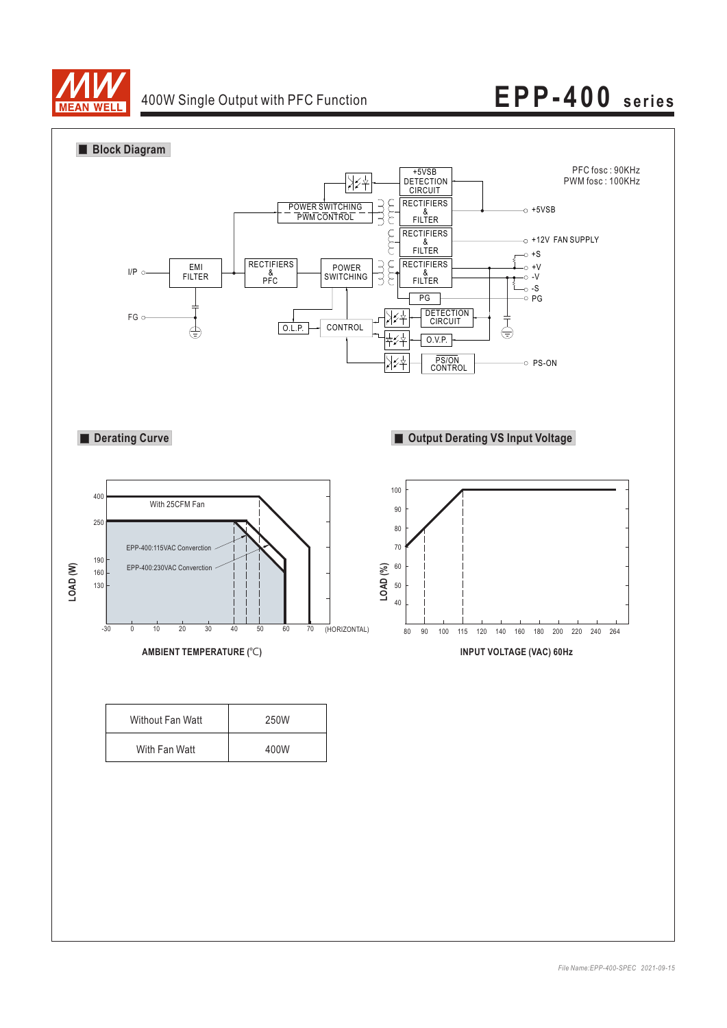

# 400W Single Output with PFC Function **EPP-400 series**



| Without Fan Watt | 250W |
|------------------|------|
| With Fan Watt    | 400W |